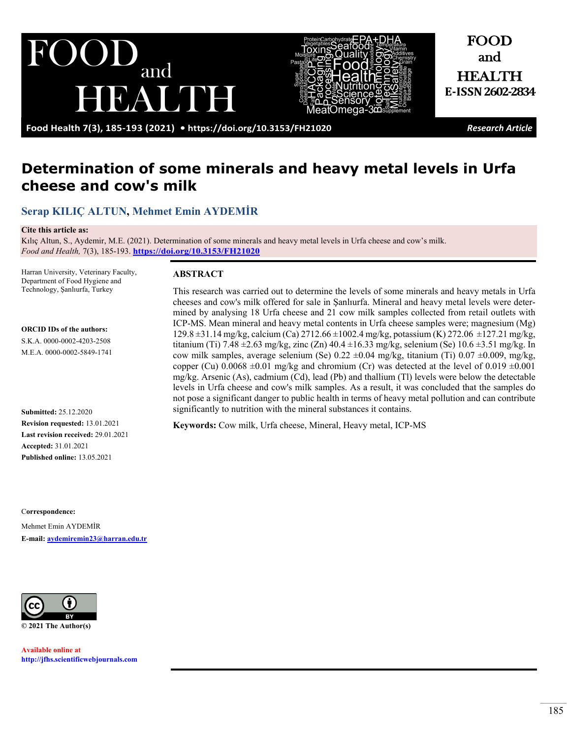



and HEALTH **E-ISSN2602-2834**

FOOD

**Food Health 7(3), 185-193 (2021) •<https://doi.org/10.3153/FH21020>** *Research Article*

# **Determination of some minerals and heavy metal levels in Urfa cheese and cow's milk**

# **[Serap KILIÇ ALTUN,](https://orcid.org/0000-0002-4203-2508) [Mehmet Emin AYDEMİR](https://orcid.org/0000-0002-5849-1741)**

#### **Cite this article as:**

Kılıç Altun, S., Aydemir, M.E. (2021). Determination of some minerals and heavy metal levels in Urfa cheese and cow's milk. *Food and Health,* 7(3), 185-193. **<https://doi.org/10.3153/FH21020>**

Harran University, Veterinary Faculty, Department of Food Hygiene and Technology, Şanlıurfa, Turkey

**ORCID IDs of the authors:** S.K.A. 0000-0002-4203-2508 M.E.A. 0000-0002-5849-1741

**Submitted:** 25.12.2020 **Revision requested:** 13.01.2021 **Last revision received:** 29.01.2021 **Accepted:** 31.01.2021 **Published online:** 13.05.2021

C**orrespondence:** 

Mehmet Emin AYDEMİR **E-mail: [aydemiremin23@harran.edu.tr](mailto:aydemiremin23@harran.edu.tr)**



**Available online at [http://jfhs.scientificwebjournals.com](http://jfhs.scientificwebjournals.com/)**

### **ABSTRACT**

This research was carried out to determine the levels of some minerals and heavy metals in Urfa cheeses and cow's milk offered for sale in Şanlıurfa. Mineral and heavy metal levels were determined by analysing 18 Urfa cheese and 21 cow milk samples collected from retail outlets with ICP-MS. Mean mineral and heavy metal contents in Urfa cheese samples were; magnesium (Mg) 129.8 ±31.14 mg/kg, calcium (Ca) 2712.66 ±1002.4 mg/kg, potassium (K) 272.06 ±127.21 mg/kg, titanium (Ti) 7.48  $\pm$ 2.63 mg/kg, zinc (Zn) 40.4  $\pm$ 16.33 mg/kg, selenium (Se) 10.6  $\pm$ 3.51 mg/kg. In cow milk samples, average selenium (Se) 0.22 ±0.04 mg/kg, titanium (Ti) 0.07 ±0.009, mg/kg, copper (Cu) 0.0068  $\pm$ 0.01 mg/kg and chromium (Cr) was detected at the level of 0.019  $\pm$ 0.001 mg/kg. Arsenic (As), cadmium (Cd), lead (Pb) and thallium (Tl) levels were below the detectable levels in Urfa cheese and cow's milk samples. As a result, it was concluded that the samples do not pose a significant danger to public health in terms of heavy metal pollution and can contribute significantly to nutrition with the mineral substances it contains.

**Keywords:** Cow milk, Urfa cheese, Mineral, Heavy metal, ICP-MS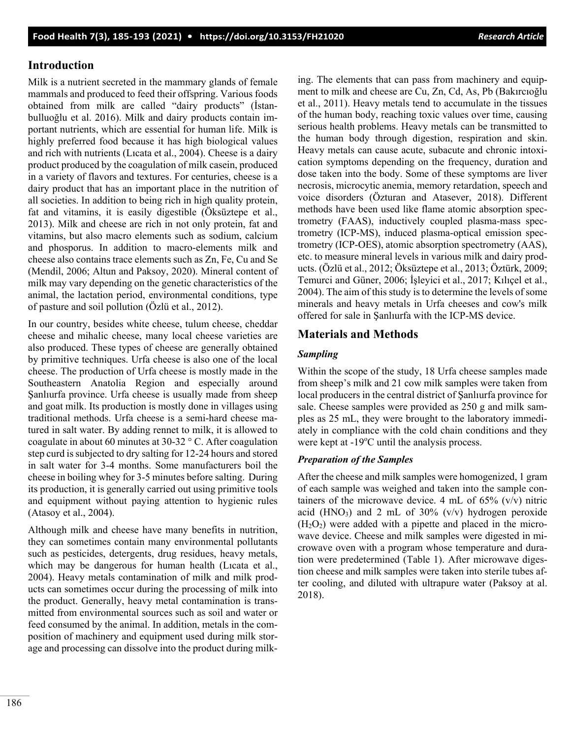### **Introduction**

Milk is a nutrient secreted in the mammary glands of female mammals and produced to feed their offspring. Various foods obtained from milk are called "dairy products" (İstanbulluoğlu et al. 2016). Milk and dairy products contain important nutrients, which are essential for human life. Milk is highly preferred food because it has high biological values and rich with nutrients (Lıcata et al., 2004). Cheese is a dairy product produced by the coagulation of milk casein, produced in a variety of flavors and textures. For centuries, cheese is a dairy product that has an important place in the nutrition of all societies. In addition to being rich in high quality protein, fat and vitamins, it is easily digestible (Öksüztepe et al., 2013). Milk and cheese are rich in not only protein, fat and vitamins, but also macro elements such as sodium, calcium and phosporus. In addition to macro-elements milk and cheese also contains trace elements such as Zn, Fe, Cu and Se (Mendil, 2006; Altun and Paksoy, 2020). Mineral content of milk may vary depending on the genetic characteristics of the animal, the lactation period, environmental conditions, type of pasture and soil pollution (Özlü et al., 2012).

In our country, besides white cheese, tulum cheese, cheddar cheese and mihalic cheese, many local cheese varieties are also produced. These types of cheese are generally obtained by primitive techniques. Urfa cheese is also one of the local cheese. The production of Urfa cheese is mostly made in the Southeastern Anatolia Region and especially around Şanlıurfa province. Urfa cheese is usually made from sheep and goat milk. Its production is mostly done in villages using traditional methods. Urfa cheese is a semi-hard cheese matured in salt water. By adding rennet to milk, it is allowed to coagulate in about 60 minutes at 30-32 ° C. After coagulation step curd is subjected to dry salting for 12-24 hours and stored in salt water for 3-4 months. Some manufacturers boil the cheese in boiling whey for 3-5 minutes before salting. During its production, it is generally carried out using primitive tools and equipment without paying attention to hygienic rules (Atasoy et al., 2004).

Although milk and cheese have many benefits in nutrition, they can sometimes contain many environmental pollutants such as pesticides, detergents, drug residues, heavy metals, which may be dangerous for human health (Licata et al., 2004). Heavy metals contamination of milk and milk products can sometimes occur during the processing of milk into the product. Generally, heavy metal contamination is transmitted from environmental sources such as soil and water or feed consumed by the animal. In addition, metals in the composition of machinery and equipment used during milk storage and processing can dissolve into the product during milking. The elements that can pass from machinery and equipment to milk and cheese are Cu, Zn, Cd, As, Pb (Bakırcıoğlu et al., 2011). Heavy metals tend to accumulate in the tissues of the human body, reaching toxic values over time, causing serious health problems. Heavy metals can be transmitted to the human body through digestion, respiration and skin. Heavy metals can cause acute, subacute and chronic intoxication symptoms depending on the frequency, duration and dose taken into the body. Some of these symptoms are liver necrosis, microcytic anemia, memory retardation, speech and voice disorders (Özturan and Atasever, 2018). Different methods have been used like flame atomic absorption spectrometry (FAAS), inductively coupled plasma-mass spectrometry (ICP-MS), induced plasma-optical emission spectrometry (ICP-OES), atomic absorption spectrometry (AAS), etc. to measure mineral levels in various milk and dairy products. (Özlü et al., 2012; Öksüztepe et al., 2013; Öztürk, 2009; Temurci and Güner, 2006; İşleyici et al., 2017; Kılıçel et al., 2004). The aim of this study is to determine the levels of some minerals and heavy metals in Urfa cheeses and cow's milk offered for sale in Şanlıurfa with the ICP-MS device.

### **Materials and Methods**

### *Sampling*

Within the scope of the study, 18 Urfa cheese samples made from sheep's milk and 21 cow milk samples were taken from local producers in the central district of Şanlıurfa province for sale. Cheese samples were provided as 250 g and milk samples as 25 mL, they were brought to the laboratory immediately in compliance with the cold chain conditions and they were kept at -19°C until the analysis process.

#### *Preparation of the Samples*

After the cheese and milk samples were homogenized, 1 gram of each sample was weighed and taken into the sample containers of the microwave device. 4 mL of  $65\%$  (v/v) nitric acid (HNO<sub>3</sub>) and 2 mL of  $30\%$  (v/v) hydrogen peroxide  $(H<sub>2</sub>O<sub>2</sub>)$  were added with a pipette and placed in the microwave device. Cheese and milk samples were digested in microwave oven with a program whose temperature and duration were predetermined (Table 1). After microwave digestion cheese and milk samples were taken into sterile tubes after cooling, and diluted with ultrapure water (Paksoy at al. 2018).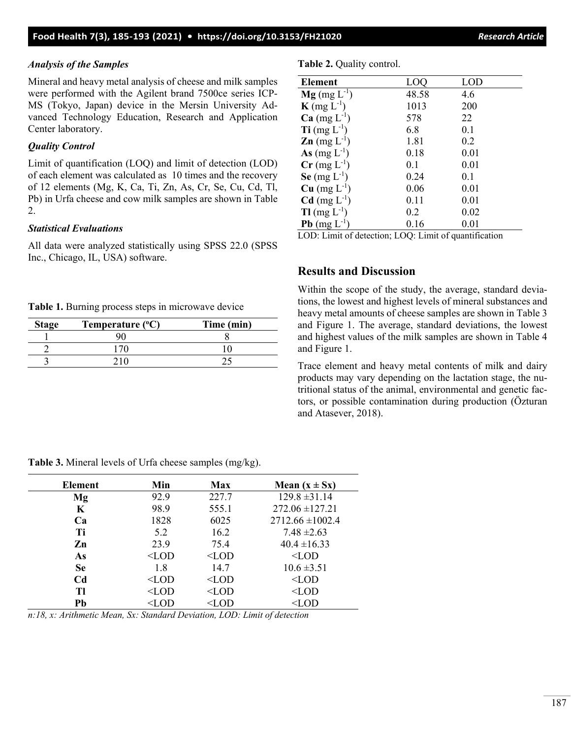## *Analysis of the Samples*

Mineral and heavy metal analysis of cheese and milk samples were performed with the Agilent brand 7500ce series ICP-MS (Tokyo, Japan) device in the Mersin University Advanced Technology Education, Research and Application Center laboratory.

# *Quality Control*

Limit of quantification (LOQ) and limit of detection (LOD) of each element was calculated as 10 times and the recovery of 12 elements (Mg, K, Ca, Ti, Zn, As, Cr, Se, Cu, Cd, Tl, Pb) in Urfa cheese and cow milk samples are shown in Table 2.

## *Statistical Evaluations*

All data were analyzed statistically using SPSS 22.0 (SPSS Inc., Chicago, IL, USA) software.

**Table 1.** Burning process steps in microwave device

| <b>Stage</b> | Temperature (°C) | Time (min) |
|--------------|------------------|------------|
|              |                  |            |
|              |                  |            |
|              |                  |            |

**Table 2.** Quality control.

| Element                                     | LOC   | LOD  |  |  |  |
|---------------------------------------------|-------|------|--|--|--|
| $Mg$ (mg $L^{-1}$ )                         | 48.58 | 4.6  |  |  |  |
| $\mathbf{K}$ (mg $L^{-1}$ )                 | 1013  | 200  |  |  |  |
| $Ca$ (mg $L^{-1}$ )                         | 578   | 22   |  |  |  |
| $\textbf{Ti}$ (mg $\text{L}^{-1}$ )         | 6.8   | 0.1  |  |  |  |
| $\mathbf{Zn}$ (mg $L^{-1}$ )                | 1.81  | 0.2  |  |  |  |
| As $(mg L^{-1})$                            | 0.18  | 0.01 |  |  |  |
| $Cr$ (mg $L^{-1}$ )                         | 0.1   | 0.01 |  |  |  |
| Se $(mg L^{-1})$                            | 0.24  | 0.1  |  |  |  |
| $Cu$ (mg $L^{-1}$ )                         | 0.06  | 0.01 |  |  |  |
| $Cd$ (mg $L^{-1}$ )                         | 0.11  | 0.01 |  |  |  |
| $T1$ (mg $L^{-1}$ )                         | 0.2   | 0.02 |  |  |  |
| $Pb$ (mg $L^{-1}$ )                         | 0.16  | 0.01 |  |  |  |
| <b>LOD</b> L'UNICIALITY LOO L'UNICIA COMPUT |       |      |  |  |  |

LOD: Limit of detection; LOQ: Limit of quantification

# **Results and Discussion**

Within the scope of the study, the average, standard deviations, the lowest and highest levels of mineral substances and heavy metal amounts of cheese samples are shown in Table 3 and Figure 1. The average, standard deviations, the lowest and highest values of the milk samples are shown in Table 4 and Figure 1.

Trace element and heavy metal contents of milk and dairy products may vary depending on the lactation stage, the nutritional status of the animal, environmental and genetic factors, or possible contamination during production (Özturan and Atasever, 2018).

| Element                                                                  | Min     | <b>Max</b> | Mean $(x \pm Sx)$    |
|--------------------------------------------------------------------------|---------|------------|----------------------|
| Mg                                                                       | 92.9    | 227.7      | $129.8 \pm 31.14$    |
| K                                                                        | 98.9    | 555.1      | $272.06 \pm 127.21$  |
| Ca                                                                       | 1828    | 6025       | $2712.66 \pm 1002.4$ |
| Ti                                                                       | 5.2     | 16.2       | $7.48 \pm 2.63$      |
| Zn                                                                       | 23.9    | 75.4       | $40.4 \pm 16.33$     |
| As                                                                       | $<$ LOD | $<$ LOD    | $<$ LOD              |
| <b>Se</b>                                                                | 1.8     | 14.7       | $10.6 \pm 3.51$      |
| C <sub>d</sub>                                                           | $<$ LOD | $<$ LOD    | $<$ LOD              |
| TI                                                                       | $<$ LOD | $<$ LOD    | $<$ LOD              |
| Pb                                                                       | $<$ LOD | $<$ LOD    | $<$ LOD              |
| $n.19$ m fuithmetic Moon Sm Standard Domation $LAD$ , Limit of detection |         |            |                      |

**Table 3.** Mineral levels of Urfa cheese samples (mg/kg).

*n:18, x: Arithmetic Mean, Sx: Standard Deviation, LOD: Limit of detection*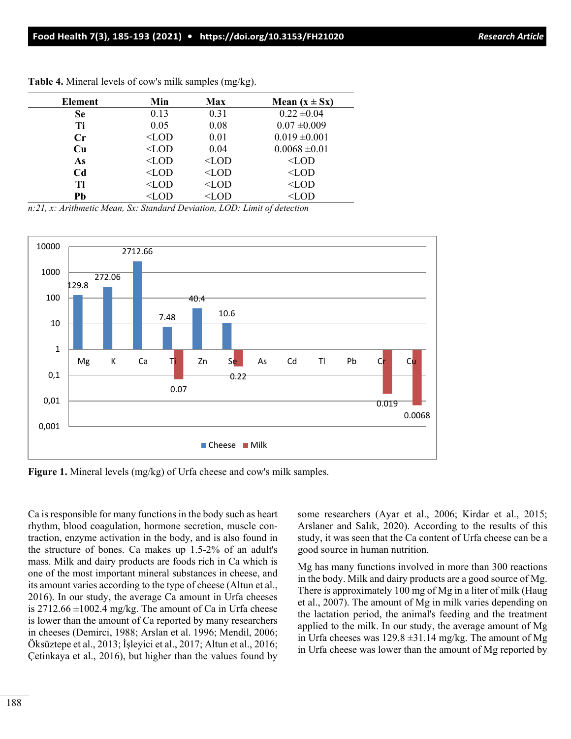| <b>Element</b> | Min     | Max     | Mean $(x \pm Sx)$ |
|----------------|---------|---------|-------------------|
| Se             | 0.13    | 0.31    | $0.22 \pm 0.04$   |
| Ti             | 0.05    | 0.08    | $0.07 \pm 0.009$  |
| $C_{r}$        | $<$ LOD | 0.01    | $0.019 \pm 0.001$ |
| Cu             | $<$ LOD | 0.04    | $0.0068 \pm 0.01$ |
| As             | $<$ LOD | $<$ LOD | $<$ LOD           |
| Cd             | $<$ LOD | $<$ LOD | $<$ LOD           |
| TI             | $<$ LOD | $<$ LOD | $<$ LOD           |
| Pb             | $<$ LOD | $<$ LOD | $<$ LOD           |

**Table 4.** Mineral levels of cow's milk samples (mg/kg).

*n:21, x: Arithmetic Mean, Sx: Standard Deviation, LOD: Limit of detection*



**Figure 1.** Mineral levels (mg/kg) of Urfa cheese and cow's milk samples.

Ca is responsible for many functions in the body such as heart rhythm, blood coagulation, hormone secretion, muscle contraction, enzyme activation in the body, and is also found in the structure of bones. Ca makes up 1.5-2% of an adult's mass. Milk and dairy products are foods rich in Ca which is one of the most important mineral substances in cheese, and its amount varies according to the type of cheese (Altun et al., 2016). In our study, the average Ca amount in Urfa cheeses is 2712.66  $\pm$ 1002.4 mg/kg. The amount of Ca in Urfa cheese is lower than the amount of Ca reported by many researchers in cheeses (Demirci, 1988; Arslan et al. 1996; Mendil, 2006; Öksüztepe et al., 2013; İşleyici et al., 2017; Altun et al., 2016; Çetinkaya et al., 2016), but higher than the values found by some researchers (Ayar et al., 2006; Kirdar et al., 2015; Arslaner and Salık, 2020). According to the results of this study, it was seen that the Ca content of Urfa cheese can be a good source in human nutrition.

Mg has many functions involved in more than 300 reactions in the body. Milk and dairy products are a good source of Mg. There is approximately 100 mg of Mg in a liter of milk (Haug et al., 2007). The amount of Mg in milk varies depending on the lactation period, the animal's feeding and the treatment applied to the milk. In our study, the average amount of Mg in Urfa cheeses was  $129.8 \pm 31.14$  mg/kg. The amount of Mg in Urfa cheese was lower than the amount of Mg reported by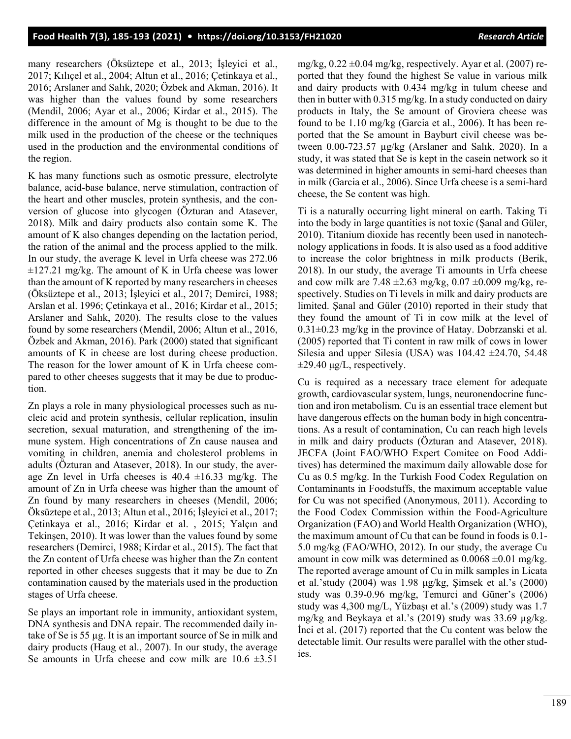many researchers (Öksüztepe et al., 2013; İşleyici et al., 2017; Kılıçel et al., 2004; Altun et al., 2016; Çetinkaya et al., 2016; Arslaner and Salık, 2020; Özbek and Akman, 2016). It was higher than the values found by some researchers (Mendil, 2006; Ayar et al., 2006; Kirdar et al., 2015). The difference in the amount of Mg is thought to be due to the milk used in the production of the cheese or the techniques used in the production and the environmental conditions of the region.

K has many functions such as osmotic pressure, electrolyte balance, acid-base balance, nerve stimulation, contraction of the heart and other muscles, protein synthesis, and the conversion of glucose into glycogen (Özturan and Atasever, 2018). Milk and dairy products also contain some K. The amount of K also changes depending on the lactation period, the ration of the animal and the process applied to the milk. In our study, the average K level in Urfa cheese was 272.06  $\pm$ 127.21 mg/kg. The amount of K in Urfa cheese was lower than the amount of K reported by many researchers in cheeses (Öksüztepe et al., 2013; İşleyici et al., 2017; Demirci, 1988; Arslan et al. 1996; Çetinkaya et al., 2016; Kirdar et al., 2015; Arslaner and Salık, 2020). The results close to the values found by some researchers (Mendil, 2006; Altun et al., 2016, Özbek and Akman, 2016). Park (2000) stated that significant amounts of K in cheese are lost during cheese production. The reason for the lower amount of K in Urfa cheese compared to other cheeses suggests that it may be due to production.

Zn plays a role in many physiological processes such as nucleic acid and protein synthesis, cellular replication, insulin secretion, sexual maturation, and strengthening of the immune system. High concentrations of Zn cause nausea and vomiting in children, anemia and cholesterol problems in adults (Özturan and Atasever, 2018). In our study, the average Zn level in Urfa cheeses is  $40.4 \pm 16.33$  mg/kg. The amount of Zn in Urfa cheese was higher than the amount of Zn found by many researchers in cheeses (Mendil, 2006; Öksüztepe et al., 2013; Altun et al., 2016; İşleyici et al., 2017; Çetinkaya et al., 2016; Kirdar et al. , 2015; Yalçın and Tekinşen, 2010). It was lower than the values found by some researchers (Demirci, 1988; Kirdar et al., 2015). The fact that the Zn content of Urfa cheese was higher than the Zn content reported in other cheeses suggests that it may be due to Zn contamination caused by the materials used in the production stages of Urfa cheese.

Se plays an important role in immunity, antioxidant system, DNA synthesis and DNA repair. The recommended daily intake of Se is 55 µg. It is an important source of Se in milk and dairy products (Haug et al., 2007). In our study, the average Se amounts in Urfa cheese and cow milk are  $10.6 \pm 3.51$ 

mg/kg,  $0.22 \pm 0.04$  mg/kg, respectively. Ayar et al. (2007) reported that they found the highest Se value in various milk and dairy products with 0.434 mg/kg in tulum cheese and then in butter with 0.315 mg/kg. In a study conducted on dairy products in Italy, the Se amount of Groviera cheese was found to be 1.10 mg/kg (Garcia et al., 2006). It has been reported that the Se amount in Bayburt civil cheese was between 0.00-723.57 µg/kg (Arslaner and Salık, 2020). In a study, it was stated that Se is kept in the casein network so it was determined in higher amounts in semi-hard cheeses than in milk (Garcia et al., 2006). Since Urfa cheese is a semi-hard cheese, the Se content was high.

Ti is a naturally occurring light mineral on earth. Taking Ti into the body in large quantities is not toxic (Şanal and Güler, 2010). Titanium dioxide has recently been used in nanotechnology applications in foods. It is also used as a food additive to increase the color brightness in milk products (Berik, 2018). In our study, the average Ti amounts in Urfa cheese and cow milk are 7.48  $\pm$ 2.63 mg/kg, 0.07  $\pm$ 0.009 mg/kg, respectively. Studies on Ti levels in milk and dairy products are limited. Şanal and Güler (2010) reported in their study that they found the amount of Ti in cow milk at the level of  $0.31\pm0.23$  mg/kg in the province of Hatay. Dobrzanski et al. (2005) reported that Ti content in raw milk of cows in lower Silesia and upper Silesia (USA) was  $104.42 \pm 24.70$ , 54.48  $\pm$ 29.40 μg/L, respectively.

Cu is required as a necessary trace element for adequate growth, cardiovascular system, lungs, neuronendocrine function and iron metabolism. Cu is an essential trace element but have dangerous effects on the human body in high concentrations. As a result of contamination, Cu can reach high levels in milk and dairy products (Özturan and Atasever, 2018). JECFA (Joint FAO/WHO Expert Comitee on Food Additives) has determined the maximum daily allowable dose for Cu as 0.5 mg/kg. In the Turkish Food Codex Regulation on Contaminants in Foodstuffs, the maximum acceptable value for Cu was not specified (Anonymous, 2011). According to the Food Codex Commission within the Food-Agriculture Organization (FAO) and World Health Organization (WHO), the maximum amount of Cu that can be found in foods is 0.1- 5.0 mg/kg (FAO/WHO, 2012). In our study, the average Cu amount in cow milk was determined as  $0.0068 \pm 0.01$  mg/kg. The reported average amount of Cu in milk samples in Licata et al.'study (2004) was 1.98 μg/kg, Şimsek et al.'s (2000) study was 0.39-0.96 mg/kg, Temurci and Güner's (2006) study was 4,300 mg/L, Yüzbaşı et al.'s (2009) study was 1.7 mg/kg and Beykaya et al.'s (2019) study was 33.69 µg/kg. İnci et al. (2017) reported that the Cu content was below the detectable limit. Our results were parallel with the other studies.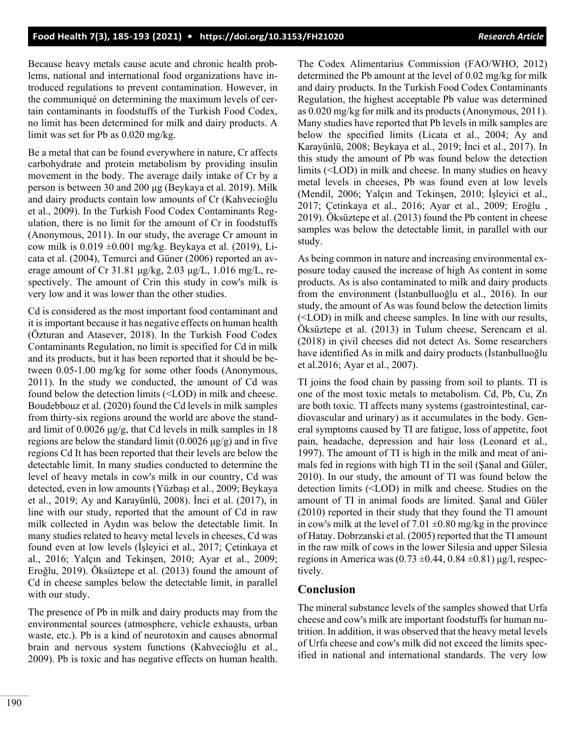Because heavy metals cause acute and chronic health problems, national and international food organizations have introduced regulations to prevent contamination. However, in the communiqué on determining the maximum levels of certain contaminants in foodstuffs of the Turkish Food Codex, no limit has been determined for milk and dairy products. A limit was set for Pb as 0.020 mg/kg.

Be a metal that can be found everywhere in nature, Cr affects carbohydrate and protein metabolism by providing insulin movement in the body. The average daily intake of Cr by a person is between 30 and 200 μg (Beykaya et al. 2019). Milk and dairy products contain low amounts of Cr (Kahvecioğlu et al., 2009). In the Turkish Food Codex Contaminants Regulation, there is no limit for the amount of Cr in foodstuffs (Anonymous, 2011). In our study, the average Cr amount in cow milk is 0.019 ±0.001 mg/kg. Beykaya et al. (2019), Licata et al. (2004), Temurci and Güner (2006) reported an average amount of Cr 31.81 μg/kg, 2.03 μg/L, 1.016 mg/L, respectively. The amount of Crin this study in cow's milk is very low and it was lower than the other studies.

Cd is considered as the most important food contaminant and it is important because it has negative effects on human health (Özturan and Atasever, 2018). In the Turkish Food Codex Contaminants Regulation, no limit is specified for Cd in milk and its products, but it has been reported that it should be between 0.05-1.00 mg/kg for some other foods (Anonymous, 2011). In the study we conducted, the amount of Cd was found below the detection limits (˂LOD) in milk and cheese. Boudebbouz et al. (2020) found the Cd levels in milk samples from thirty-six regions around the world are above the standard limit of  $0.0026 \mu g/g$ , that Cd levels in milk samples in 18 regions are below the standard limit  $(0.0026 \mu g/g)$  and in five regions Cd It has been reported that their levels are below the detectable limit. In many studies conducted to determine the level of heavy metals in cow's milk in our country, Cd was detected, even in low amounts (Yüzbaşı et al., 2009; Beykaya et al., 2019; Ay and Karayünlü, 2008). İnci et al. (2017), in line with our study, reported that the amount of Cd in raw milk collected in Aydın was below the detectable limit. In many studies related to heavy metal levels in cheeses, Cd was found even at low levels (İşleyici et al., 2017; Çetinkaya et al., 2016; Yalçın and Tekinşen, 2010; Ayar et al., 2009; Eroğlu, 2019). Öksüztepe et al. (2013) found the amount of Cd in cheese samples below the detectable limit, in parallel with our study.

The presence of Pb in milk and dairy products may from the environmental sources (atmosphere, vehicle exhausts, urban waste, etc.). Pb is a kind of neurotoxin and causes abnormal brain and nervous system functions (Kahvecioğlu et al., 2009). Pb is toxic and has negative effects on human health.

The Codex Alimentarius Commission (FAO/WHO, 2012) determined the Pb amount at the level of 0.02 mg/kg for milk and dairy products. In the Turkish Food Codex Contaminants Regulation, the highest acceptable Pb value was determined as 0.020 mg/kg for milk and its products (Anonymous, 2011). Many studies have reported that Pb levels in milk samples are below the specified limits (Licata et al., 2004; Ay and Karayünlü, 2008; Beykaya et al., 2019; İnci et al., 2017). In this study the amount of Pb was found below the detection limits (˂LOD) in milk and cheese. In many studies on heavy metal levels in cheeses, Pb was found even at low levels (Mendil, 2006; Yalçın and Tekinşen, 2010; İşleyici et al., 2017; Çetinkaya et al., 2016; Ayar et al., 2009; Eroğlu , 2019). Öksüztepe et al. (2013) found the Pb content in cheese samples was below the detectable limit, in parallel with our study.

As being common in nature and increasing environmental exposure today caused the increase of high As content in some products. As is also contaminated to milk and dairy products from the environment (İstanbulluoğlu et al., 2016). In our study, the amount of As was found below the detection limits (˂LOD) in milk and cheese samples. In line with our results, Öksüztepe et al. (2013) in Tulum cheese, Serencam et al. (2018) in çivil cheeses did not detect As. Some researchers have identified As in milk and dairy products (İstanbulluoğlu et al.2016; Ayar et al., 2007).

TI joins the food chain by passing from soil to plants. TI is one of the most toxic metals to metabolism. Cd, Pb, Cu, Zn are both toxic. TI affects many systems (gastrointestinal, cardiovascular and urinary) as it accumulates in the body. General symptoms caused by TI are fatigue, loss of appetite, foot pain, headache, depression and hair loss (Leonard et al., 1997). The amount of TI is high in the milk and meat of animals fed in regions with high TI in the soil (Şanal and Güler, 2010). In our study, the amount of TI was found below the detection limits (˂LOD) in milk and cheese. Studies on the amount of TI in animal foods are limited. Şanal and Güler (2010) reported in their study that they found the Tl amount in cow's milk at the level of  $7.01 \pm 0.80$  mg/kg in the province of Hatay. Dobrzanski et al. (2005) reported that the TI amount in the raw milk of cows in the lower Silesia and upper Silesia regions in America was  $(0.73 \pm 0.44, 0.84 \pm 0.81)$  μg/l, respectively.

# **Conclusion**

The mineral substance levels of the samples showed that Urfa cheese and cow's milk are important foodstuffs for human nutrition. In addition, it was observed that the heavy metal levels of Urfa cheese and cow's milk did not exceed the limits specified in national and international standards. The very low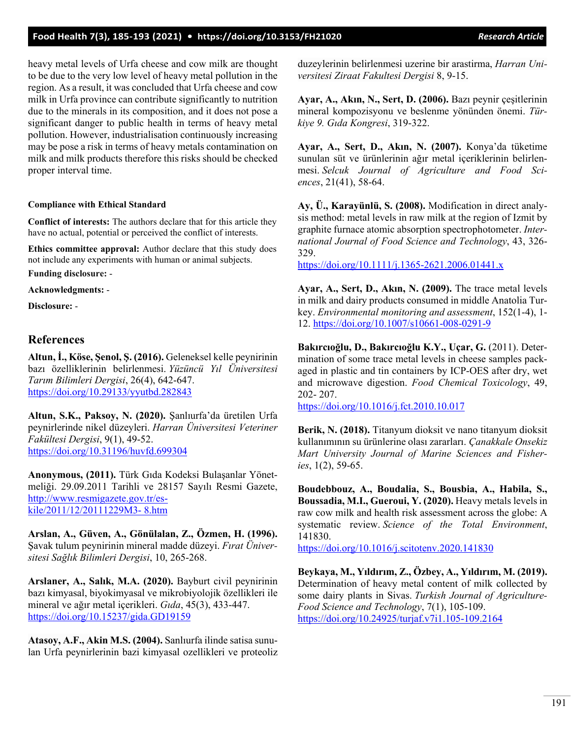heavy metal levels of Urfa cheese and cow milk are thought to be due to the very low level of heavy metal pollution in the region. As a result, it was concluded that Urfa cheese and cow milk in Urfa province can contribute significantly to nutrition due to the minerals in its composition, and it does not pose a significant danger to public health in terms of heavy metal pollution. However, industrialisation continuously increasing may be pose a risk in terms of heavy metals contamination on milk and milk products therefore this risks should be checked proper interval time.

#### **Compliance with Ethical Standard**

**Conflict of interests:** The authors declare that for this article they have no actual, potential or perceived the conflict of interests.

**Ethics committee approval:** Author declare that this study does not include any experiments with human or animal subjects.

**Funding disclosure:** -

**Acknowledgments:** -

**Disclosure:** -

### **References**

**Altun, İ., Köse, Şenol, Ş. (2016).** Geleneksel kelle peynirinin bazı özelliklerinin belirlenmesi. *Yüzüncü Yıl Üniversitesi Tarım Bilimleri Dergisi*, 26(4), 642-647. <https://doi.org/10.29133/yyutbd.282843>

**Altun, S.K., Paksoy, N. (2020).** Şanlıurfa'da üretilen Urfa peynirlerinde nikel düzeyleri. *Harran Üniversitesi Veteriner Fakültesi Dergisi*, 9(1), 49-52. <https://doi.org/10.31196/huvfd.699304>

**Anonymous, (2011).** Türk Gıda Kodeksi Bulaşanlar Yönetmeliği. 29.09.2011 Tarihli ve 28157 Sayılı Resmi Gazete, [http://www.resmigazete.gov.tr/es](http://www.resmigazete.gov.tr/eskile/2011/12/20111229M3-%208.htm)[kile/2011/12/20111229M3](http://www.resmigazete.gov.tr/eskile/2011/12/20111229M3-%208.htm)- 8.htm

**Arslan, A., Güven, A., Gönülalan, Z., Özmen, H. (1996).** Şavak tulum peynirinin mineral madde düzeyi. *Fırat Üniversitesi Sağlık Bilimleri Dergisi*, 10, 265-268.

**Arslaner, A., Salık, M.A. (2020).** Bayburt civil peynirinin bazı kimyasal, biyokimyasal ve mikrobiyolojik özellikleri ile mineral ve ağır metal içerikleri. *Gıda*, 45(3), 433-447. <https://doi.org/10.15237/gida.GD19159>

**Atasoy, A.F., Akin M.S. (2004).** Sanlıurfa ilinde satisa sunulan Urfa peynirlerinin bazi kimyasal ozellikleri ve proteoliz duzeylerinin belirlenmesi uzerine bir arastirma, *Harran Universitesi Ziraat Fakultesi Dergisi* 8, 9-15.

**Ayar, A., Akın, N., Sert, D. (2006).** Bazı peynir çeşitlerinin mineral kompozisyonu ve beslenme yönünden önemi. *Türkiye 9. Gıda Kongresi*, 319-322.

**Ayar, A., Sert, D., Akın, N. (2007).** Konya'da tüketime sunulan süt ve ürünlerinin ağır metal içeriklerinin belirlenmesi. *Selcuk Journal of Agriculture and Food Sciences*, 21(41), 58-64.

**Ay, Ü., Karayünlü, S. (2008).** Modification in direct analysis method: metal levels in raw milk at the region of Izmit by graphite furnace atomic absorption spectrophotometer. *International Journal of Food Science and Technology*, 43, 326- 329.

[https://doi.org/10.1111/j.1365](https://doi.org/10.1111/j.1365-2621.2006.01441.x)-2621.2006.01441.x

**Ayar, A., Sert, D., Akın, N. (2009).** The trace metal levels in milk and dairy products consumed in middle Anatolia Turkey. *Environmental monitoring and assessment*, 152(1-4), 1- 12. [https://doi.org/10.1007/s10661](https://doi.org/10.1007/s10661-008-0291-9)-008-0291-9

**Bakırcıoğlu, D., Bakırcıoğlu K.Y., Uçar, G.** (2011). Determination of some trace metal levels in cheese samples packaged in plastic and tin containers by ICP-OES after dry, wet and microwave digestion. *Food Chemical Toxicology*, 49, 202- 207.

<https://doi.org/10.1016/j.fct.2010.10.017>

**Berik, N. (2018).** Titanyum dioksit ve nano titanyum dioksit kullanımının su ürünlerine olası zararları. *Çanakkale Onsekiz Mart University Journal of Marine Sciences and Fisheries*, 1(2), 59-65.

**Boudebbouz, A., Boudalia, S., Bousbia, A., Habila, S., Boussadia, M.I., Gueroui, Y. (2020).** Heavy metals levels in raw cow milk and health risk assessment across the globe: A systematic review. *Science of the Total Environment*, 141830.

<https://doi.org/10.1016/j.scitotenv.2020.141830>

**Beykaya, M., Yıldırım, Z., Özbey, A., Yıldırım, M. (2019).** Determination of heavy metal content of milk collected by some dairy plants in Sivas. *Turkish Journal of Agriculture-Food Science and Technology*, 7(1), 105-109. [https://doi.org/10.24925/turjaf.v7i1.105](https://doi.org/10.24925/turjaf.v7i1.105-109.2164)-109.2164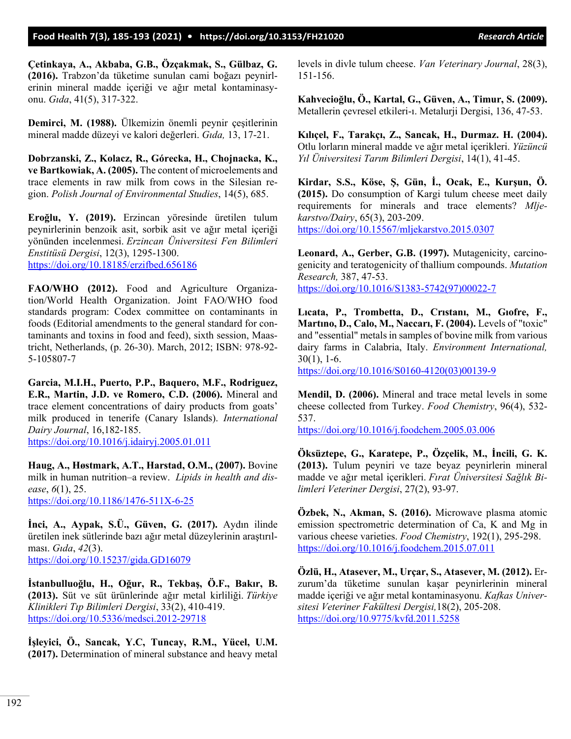**Çetinkaya, A., Akbaba, G.B., Özçakmak, S., Gülbaz, G. (2016).** Trabzon'da tüketime sunulan cami boğazı peynirlerinin mineral madde içeriği ve ağır metal kontaminasyonu. *Gıda*, 41(5), 317-322.

**Demirci, M. (1988).** Ülkemizin önemli peynir çeşitlerinin mineral madde düzeyi ve kalori değerleri. *Gıda,* 13, 17-21.

**Dobrzanski, Z., Kolacz, R., Górecka, H., Chojnacka, K., ve Bartkowiak, A. (2005).** The content of microelements and trace elements in raw milk from cows in the Silesian region. *Polish Journal of Environmental Studies*, 14(5), 685.

**Eroğlu, Y. (2019).** Erzincan yöresinde üretilen tulum peynirlerinin benzoik asit, sorbik asit ve ağır metal içeriği yönünden incelenmesi. *Erzincan Üniversitesi Fen Bilimleri Enstitüsü Dergisi*, 12(3), 1295-1300. <https://doi.org/10.18185/erzifbed.656186>

**FAO/WHO (2012).** Food and Agriculture Organization/World Health Organization. Joint FAO/WHO food standards program: Codex committee on contaminants in foods (Editorial amendments to the general standard for contaminants and toxins in food and feed), sixth session, Maastricht, Netherlands, (p. 26-30). March, 2012; ISBN: 978-92- 5-105807-7

**Garcia, M.I.H., Puerto, P.P., Baquero, M.F., Rodriguez, E.R., Martin, J.D. ve Romero, C.D. (2006).** Mineral and trace element concentrations of dairy products from goats' milk produced in tenerife (Canary Islands). *International Dairy Journal*, 16,182-185. <https://doi.org/10.1016/j.idairyj.2005.01.011>

**Haug, A., Høstmark, A.T., Harstad, O.M., (2007).** Bovine milk in human nutrition–a review. *Lipids in health and disease*, *6*(1), 25. [https://doi.org/10.1186/1476](https://doi.org/10.1186/1476-511X-6-25)-511X-6-25

**İnci, A., Aypak, S.Ü., Güven, G. (2017).** Aydın ilinde üretilen inek sütlerinde bazı ağır metal düzeylerinin araştırılması. *Gıda*, *42*(3). <https://doi.org/10.15237/gida.GD16079>

**İstanbulluoğlu, H., Oğur, R., Tekbaş, Ö.F., Bakır, B. (2013).** Süt ve süt ürünlerinde ağır metal kirliliği. *Türkiye Klinikleri Tıp Bilimleri Dergisi*, 33(2), 410-419. [https://doi.org/10.5336/medsci.2012](https://doi.org/10.5336/medsci.2012-29718)-29718

**İşleyici, Ö., Sancak, Y.C, Tuncay, R.M., Yücel, U.M. (2017).** Determination of mineral substance and heavy metal levels in divle tulum cheese. *Van Veterinary Journal*, 28(3), 151-156.

**Kahvecioğlu, Ö., Kartal, G., Güven, A., Timur, S. (2009).** Metallerin çevresel etkileri-ı. Metalurji Dergisi, 136, 47-53.

**Kılıçel, F., Tarakçı, Z., Sancak, H., Durmaz. H. (2004).** Otlu lorların mineral madde ve ağır metal içerikleri. *Yüzüncü Yıl Üniversitesi Tarım Bilimleri Dergisi*, 14(1), 41-45.

**Kirdar, S.S., Köse, Ş, Gün, İ., Ocak, E., Kurşun, Ö. (2015).** Do consumption of Kargi tulum cheese meet daily requirements for minerals and trace elements? *Mljekarstvo/Dairy*, 65(3), 203-209. <https://doi.org/10.15567/mljekarstvo.2015.0307>

**Leonard, A., Gerber, G.B. (1997).** Mutagenicity, carcinogenicity and teratogenicity of thallium compounds. *Mutation Research,* 387, 47-53. [https://doi.org/10.1016/S1383](https://doi.org/10.1016/S1383-5742(97)00022-7)-5742(97)00022-7

**Lıcata, P., Trombetta, D., Crıstanı, M., Gıofre, F., Martıno, D., Calo, M., Naccarı, F. (2004).** Levels of "toxic" and "essential" metals in samples of bovine milk from various dairy farms in Calabria, Italy. *Environment International,* 30(1), 1-6.

[https://doi.org/10.1016/S0160](https://doi.org/10.1016/S0160-4120(03)00139-9)-4120(03)00139-9

**Mendil, D. (2006).** Mineral and trace metal levels in some cheese collected from Turkey. *Food Chemistry*, 96(4), 532- 537.

<https://doi.org/10.1016/j.foodchem.2005.03.006>

**Öksüztepe, G., Karatepe, P., Özçelik, M., İncili, G. K. (2013).** Tulum peyniri ve taze beyaz peynirlerin mineral madde ve ağır metal içerikleri. *Fırat Üniversitesi Sağlık Bilimleri Veteriner Dergisi*, 27(2), 93-97.

**Özbek, N., Akman, S. (2016).** Microwave plasma atomic emission spectrometric determination of Ca, K and Mg in various cheese varieties. *Food Chemistry*, 192(1), 295-298. <https://doi.org/10.1016/j.foodchem.2015.07.011>

**Özlü, H., Atasever, M., Urçar, S., Atasever, M. (2012).** Erzurum'da tüketime sunulan kaşar peynirlerinin mineral madde içeriği ve ağır metal kontaminasyonu. *Kafkas Universitesi Veteriner Fakültesi Dergisi,*18(2), 205-208. <https://doi.org/10.9775/kvfd.2011.5258>